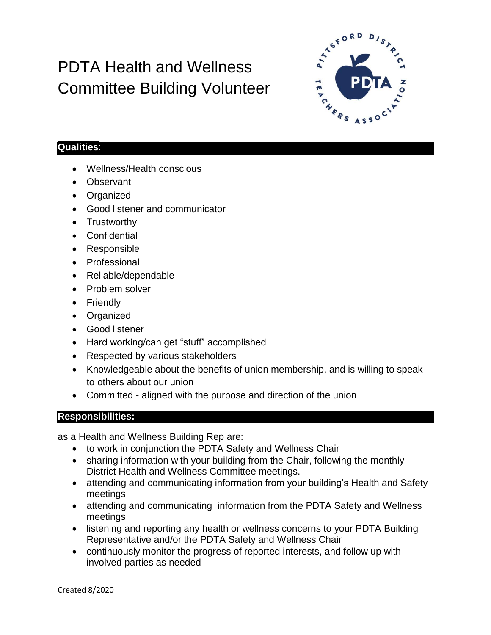## PDTA Health and Wellness Committee Building Volunteer



## **Qualities**:

- Wellness/Health conscious
- Observant
- Organized
- Good listener and communicator
- Trustworthy
- Confidential
- Responsible
- Professional
- Reliable/dependable
- Problem solver
- Friendly
- Organized
- Good listener
- Hard working/can get "stuff" accomplished
- Respected by various stakeholders
- Knowledgeable about the benefits of union membership, and is willing to speak to others about our union
- Committed aligned with the purpose and direction of the union

## **Responsibilities:**

as a Health and Wellness Building Rep are:

- to work in conjunction the PDTA Safety and Wellness Chair
- sharing information with your building from the Chair, following the monthly District Health and Wellness Committee meetings.
- attending and communicating information from your building's Health and Safety meetings
- attending and communicating information from the PDTA Safety and Wellness meetings
- listening and reporting any health or wellness concerns to your PDTA Building Representative and/or the PDTA Safety and Wellness Chair
- continuously monitor the progress of reported interests, and follow up with involved parties as needed